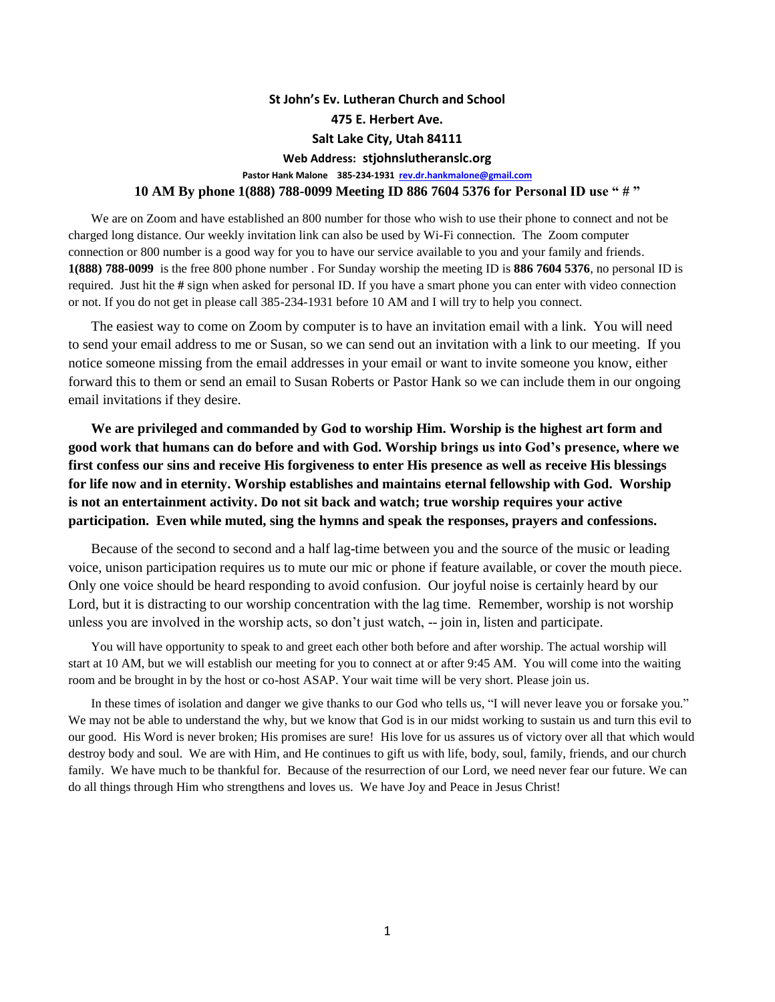## **St John's Ev. Lutheran Church and School 475 E. Herbert Ave. Salt Lake City, Utah 84111 Web Address: stjohnslutheranslc.org Pastor Hank Malone 385-234-1931 [rev.dr.hankmalone@gmail.com](mailto:rev.dr.hankmalone@gmail.com) 10 AM By phone 1(888) 788-0099 Meeting ID 886 7604 5376 for Personal ID use " # "**

We are on Zoom and have established an 800 number for those who wish to use their phone to connect and not be charged long distance. Our weekly invitation link can also be used by Wi-Fi connection. The Zoom computer connection or 800 number is a good way for you to have our service available to you and your family and friends. **1(888) 788-0099** is the free 800 phone number . For Sunday worship the meeting ID is **886 7604 5376**, no personal ID is required. Just hit the **#** sign when asked for personal ID. If you have a smart phone you can enter with video connection or not. If you do not get in please call 385-234-1931 before 10 AM and I will try to help you connect.

The easiest way to come on Zoom by computer is to have an invitation email with a link. You will need to send your email address to me or Susan, so we can send out an invitation with a link to our meeting. If you notice someone missing from the email addresses in your email or want to invite someone you know, either forward this to them or send an email to Susan Roberts or Pastor Hank so we can include them in our ongoing email invitations if they desire.

**We are privileged and commanded by God to worship Him. Worship is the highest art form and good work that humans can do before and with God. Worship brings us into God's presence, where we first confess our sins and receive His forgiveness to enter His presence as well as receive His blessings for life now and in eternity. Worship establishes and maintains eternal fellowship with God. Worship is not an entertainment activity. Do not sit back and watch; true worship requires your active participation. Even while muted, sing the hymns and speak the responses, prayers and confessions.**

Because of the second to second and a half lag-time between you and the source of the music or leading voice, unison participation requires us to mute our mic or phone if feature available, or cover the mouth piece. Only one voice should be heard responding to avoid confusion. Our joyful noise is certainly heard by our Lord, but it is distracting to our worship concentration with the lag time. Remember, worship is not worship unless you are involved in the worship acts, so don't just watch, -- join in, listen and participate.

You will have opportunity to speak to and greet each other both before and after worship. The actual worship will start at 10 AM, but we will establish our meeting for you to connect at or after 9:45 AM. You will come into the waiting room and be brought in by the host or co-host ASAP. Your wait time will be very short. Please join us.

In these times of isolation and danger we give thanks to our God who tells us, "I will never leave you or forsake you." We may not be able to understand the why, but we know that God is in our midst working to sustain us and turn this evil to our good. His Word is never broken; His promises are sure! His love for us assures us of victory over all that which would destroy body and soul. We are with Him, and He continues to gift us with life, body, soul, family, friends, and our church family. We have much to be thankful for. Because of the resurrection of our Lord, we need never fear our future. We can do all things through Him who strengthens and loves us. We have Joy and Peace in Jesus Christ!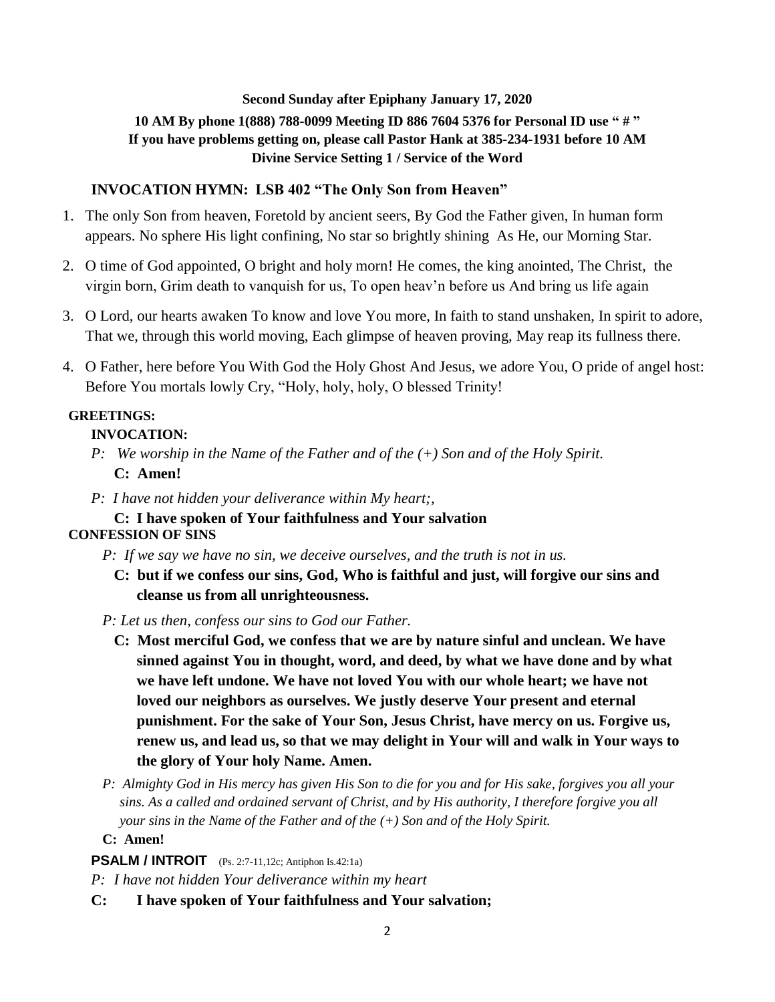#### **Second Sunday after Epiphany January 17, 2020**

# **10 AM By phone 1(888) 788-0099 Meeting ID 886 7604 5376 for Personal ID use " # " If you have problems getting on, please call Pastor Hank at 385-234-1931 before 10 AM Divine Service Setting 1 / Service of the Word**

#### **INVOCATION HYMN: LSB 402 "The Only Son from Heaven"**

- 1. The only Son from heaven, Foretold by ancient seers, By God the Father given, In human form appears. No sphere His light confining, No star so brightly shining As He, our Morning Star.
- 2. O time of God appointed, O bright and holy morn! He comes, the king anointed, The Christ, the virgin born, Grim death to vanquish for us, To open heav'n before us And bring us life again
- 3. O Lord, our hearts awaken To know and love You more, In faith to stand unshaken, In spirit to adore, That we, through this world moving, Each glimpse of heaven proving, May reap its fullness there.
- 4. O Father, here before You With God the Holy Ghost And Jesus, we adore You, O pride of angel host: Before You mortals lowly Cry, "Holy, holy, holy, O blessed Trinity!

#### **GREETINGS:**

#### **INVOCATION:**

- *P: We worship in the Name of the Father and of the (+) Son and of the Holy Spirit.* **C: Amen!**
- *P: I have not hidden your deliverance within My heart;,*

## **C: I have spoken of Your faithfulness and Your salvation**

# **CONFESSION OF SINS**

- *P: If we say we have no sin, we deceive ourselves, and the truth is not in us.*
	- **C: but if we confess our sins, God, Who is faithful and just, will forgive our sins and cleanse us from all unrighteousness.**
- *P: Let us then, confess our sins to God our Father.*
	- **C: Most merciful God, we confess that we are by nature sinful and unclean. We have sinned against You in thought, word, and deed, by what we have done and by what we have left undone. We have not loved You with our whole heart; we have not loved our neighbors as ourselves. We justly deserve Your present and eternal punishment. For the sake of Your Son, Jesus Christ, have mercy on us. Forgive us, renew us, and lead us, so that we may delight in Your will and walk in Your ways to the glory of Your holy Name. Amen.**
- *P: Almighty God in His mercy has given His Son to die for you and for His sake, forgives you all your sins. As a called and ordained servant of Christ, and by His authority, I therefore forgive you all your sins in the Name of the Father and of the (+) Son and of the Holy Spirit.*
- **C: Amen!**

#### **PSALM / INTROIT** (Ps. 2:7-11,12c; Antiphon Is.42:1a)

*P: I have not hidden Your deliverance within my heart*

**C: I have spoken of Your faithfulness and Your salvation;**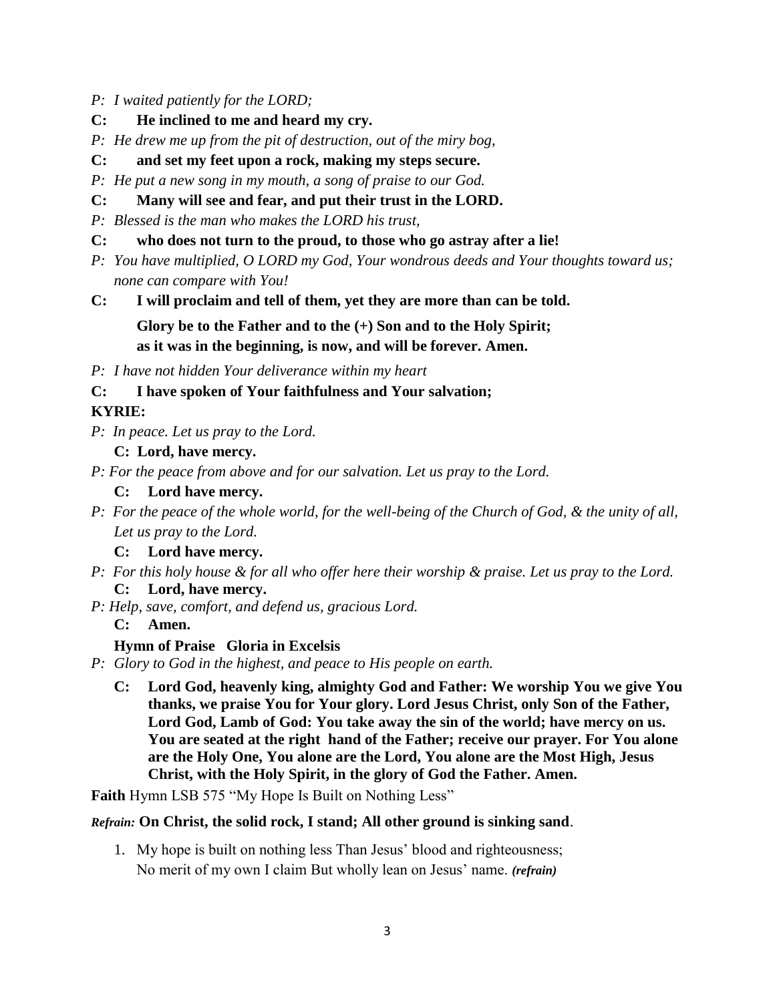- *P: I waited patiently for the LORD;*
- **C: He inclined to me and heard my cry.**
- *P: He drew me up from the pit of destruction, out of the miry bog,*
- **C: and set my feet upon a rock, making my steps secure.**
- *P: He put a new song in my mouth, a song of praise to our God.*
- **C: Many will see and fear, and put their trust in the LORD.**
- *P: Blessed is the man who makes the LORD his trust,*
- **C: who does not turn to the proud, to those who go astray after a lie!**
- *P: You have multiplied, O LORD my God, Your wondrous deeds and Your thoughts toward us; none can compare with You!*
- **C: I will proclaim and tell of them, yet they are more than can be told.**

```
Glory be to the Father and to the (+) Son and to the Holy Spirit;
as it was in the beginning, is now, and will be forever. Amen.
```
*P: I have not hidden Your deliverance within my heart*

**C: I have spoken of Your faithfulness and Your salvation;**

# **KYRIE:**

*P: In peace. Let us pray to the Lord.*

### **C: Lord, have mercy.**

*P: For the peace from above and for our salvation. Let us pray to the Lord.*

- **C: Lord have mercy.**
- *P: For the peace of the whole world, for the well-being of the Church of God, & the unity of all, Let us pray to the Lord.*
	- **C: Lord have mercy.**
- *P: For this holy house & for all who offer here their worship & praise. Let us pray to the Lord.* **C: Lord, have mercy.**
- *P: Help, save, comfort, and defend us, gracious Lord.*

**C: Amen.**

#### **Hymn of Praise Gloria in Excelsis**

*P: Glory to God in the highest, and peace to His people on earth.*

**C: Lord God, heavenly king, almighty God and Father: We worship You we give You thanks, we praise You for Your glory. Lord Jesus Christ, only Son of the Father, Lord God, Lamb of God: You take away the sin of the world; have mercy on us. You are seated at the right hand of the Father; receive our prayer. For You alone are the Holy One, You alone are the Lord, You alone are the Most High, Jesus Christ, with the Holy Spirit, in the glory of God the Father. Amen.**

Faith Hymn LSB 575 "My Hope Is Built on Nothing Less"

#### *Refrain:* **On Christ, the solid rock, I stand; All other ground is sinking sand**.

1. My hope is built on nothing less Than Jesus' blood and righteousness; No merit of my own I claim But wholly lean on Jesus' name. *(refrain)*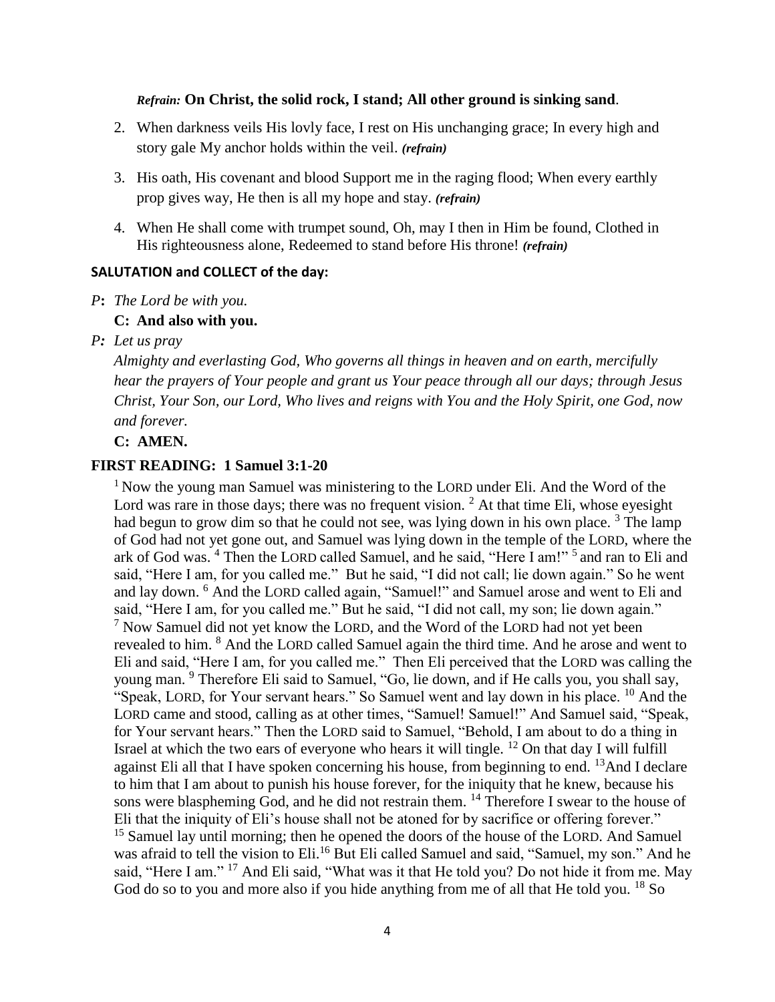#### *Refrain:* **On Christ, the solid rock, I stand; All other ground is sinking sand**.

- 2. When darkness veils His lovly face, I rest on His unchanging grace; In every high and story gale My anchor holds within the veil. *(refrain)*
- 3. His oath, His covenant and blood Support me in the raging flood; When every earthly prop gives way, He then is all my hope and stay. *(refrain)*
- 4. When He shall come with trumpet sound, Oh, may I then in Him be found, Clothed in His righteousness alone, Redeemed to stand before His throne! *(refrain)*

### **SALUTATION and COLLECT of the day:**

*P***:** *The Lord be with you.*

### **C: And also with you.**

*P: Let us pray* 

*Almighty and everlasting God, Who governs all things in heaven and on earth, mercifully hear the prayers of Your people and grant us Your peace through all our days; through Jesus Christ, Your Son, our Lord, Who lives and reigns with You and the Holy Spirit, one God, now and forever.*

**C: AMEN.**

### **FIRST READING: 1 Samuel 3:1-20**

 $1$  Now the young man Samuel was ministering to the LORD under Eli. And the Word of the Lord was rare in those days; there was no frequent vision.  $2$  At that time Eli, whose eyesight had begun to grow dim so that he could not see, was lying down in his own place.<sup>3</sup> The lamp of God had not yet gone out, and Samuel was lying down in the temple of the LORD, where the ark of God was. <sup>4</sup> Then the LORD called Samuel, and he said, "Here I am!" <sup>5</sup> and ran to Eli and said, "Here I am, for you called me." But he said, "I did not call; lie down again." So he went and lay down. <sup>6</sup> And the LORD called again, "Samuel!" and Samuel arose and went to Eli and said, "Here I am, for you called me." But he said, "I did not call, my son; lie down again."  $7$  Now Samuel did not yet know the LORD, and the Word of the LORD had not yet been revealed to him. <sup>8</sup> And the LORD called Samuel again the third time. And he arose and went to Eli and said, "Here I am, for you called me." Then Eli perceived that the LORD was calling the young man. <sup>9</sup> Therefore Eli said to Samuel, "Go, lie down, and if He calls you, you shall say, "Speak, LORD, for Your servant hears." So Samuel went and lay down in his place. <sup>10</sup> And the LORD came and stood, calling as at other times, "Samuel! Samuel!" And Samuel said, "Speak, for Your servant hears." Then the LORD said to Samuel, "Behold, I am about to do a thing in Israel at which the two ears of everyone who hears it will tingle. <sup>12</sup> On that day I will fulfill against Eli all that I have spoken concerning his house, from beginning to end.  $^{13}$ And I declare to him that I am about to punish his house forever, for the iniquity that he knew, because his sons were blaspheming God, and he did not restrain them. <sup>14</sup> Therefore I swear to the house of Eli that the iniquity of Eli's house shall not be atoned for by sacrifice or offering forever." <sup>15</sup> Samuel lay until morning; then he opened the doors of the house of the LORD. And Samuel was afraid to tell the vision to Eli.<sup>16</sup> But Eli called Samuel and said, "Samuel, my son." And he said, "Here I am." <sup>17</sup> And Eli said, "What was it that He told you? Do not hide it from me. May God do so to you and more also if you hide anything from me of all that He told you. <sup>18</sup> So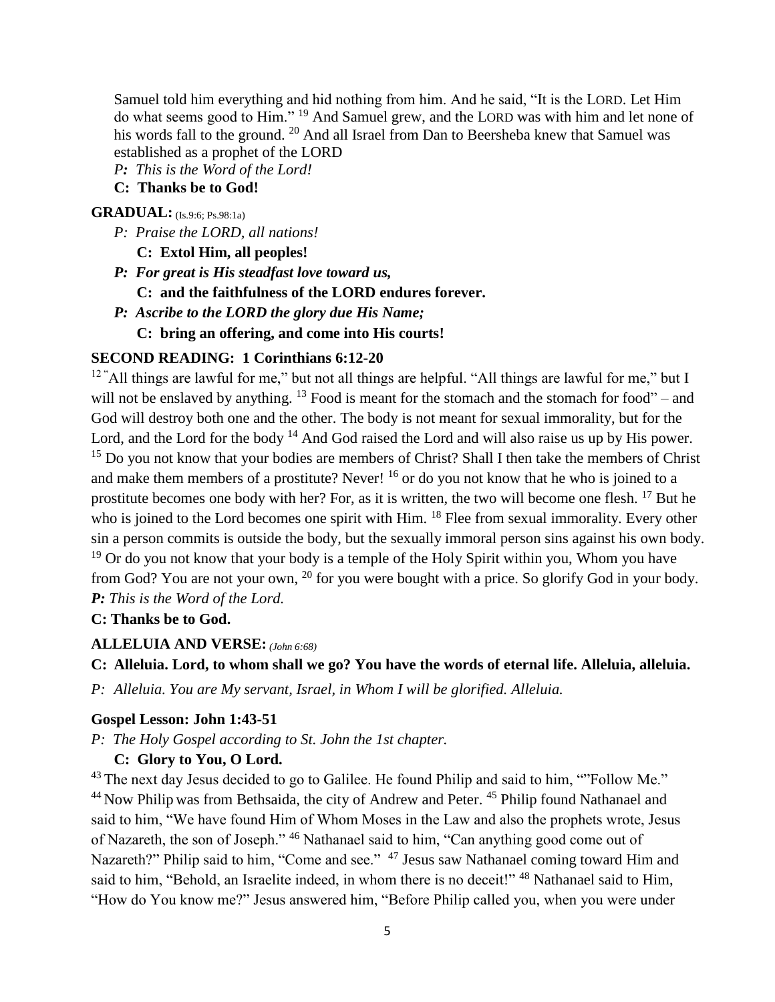Samuel told him everything and hid nothing from him. And he said, "It is the LORD. Let Him do what seems good to Him." <sup>19</sup> And Samuel grew, and the LORD was with him and let none of his words fall to the ground. <sup>20</sup> And all Israel from Dan to Beersheba knew that Samuel was established as a prophet of the LORD

*P: This is the Word of the Lord!*

# **C: Thanks be to God!**

### **GRADUAL:** (Is. 9:6: Ps. 98:1a)

- *P: Praise the LORD, all nations!*
	- **C: Extol Him, all peoples!**
- *P: For great is His steadfast love toward us,*
	- **C: and the faithfulness of the LORD endures forever.**
- *P: Ascribe to the LORD the glory due His Name;*
	- **C: bring an offering, and come into His courts!**

### **SECOND READING: 1 Corinthians 6:12-20**

 $12$  "All things are lawful for me," but not all things are helpful. "All things are lawful for me," but I will not be enslaved by anything.  $^{13}$  Food is meant for the stomach and the stomach for food" – and God will destroy both one and the other. The body is not meant for sexual immorality, but for the Lord, and the Lord for the body <sup>14</sup> And God raised the Lord and will also raise us up by His power. <sup>15</sup> Do you not know that your bodies are members of Christ? Shall I then take the members of Christ and make them members of a prostitute? Never! <sup>16</sup> or do you not know that he who is joined to a prostitute becomes one body with her? For, as it is written, the two will become one flesh. <sup>17</sup> But he who is joined to the Lord becomes one spirit with Him. <sup>18</sup> Flee from sexual immorality. Every other sin a person commits is outside the body, but the sexually immoral person sins against his own body.  $19$  Or do you not know that your body is a temple of the Holy Spirit within you, Whom you have from God? You are not your own, <sup>20</sup> for you were bought with a price. So glorify God in your body. *P: This is the Word of the Lord.*

#### **C: Thanks be to God.**

#### **ALLELUIA AND VERSE:** *(John 6:68)*

**C: Alleluia. Lord, to whom shall we go? You have the words of eternal life. Alleluia, alleluia.**

*P: Alleluia. You are My servant, Israel, in Whom I will be glorified. Alleluia.*

### **Gospel Lesson: John 1:43-51**

*P: The Holy Gospel according to St. John the 1st chapter.*

### **C: Glory to You, O Lord.**

<sup>43</sup> The next day Jesus decided to go to Galilee. He found Philip and said to him, ""Follow Me." <sup>44</sup> Now Philip was from Bethsaida, the city of Andrew and Peter. <sup>45</sup> Philip found Nathanael and said to him, "We have found Him of Whom Moses in the Law and also the prophets wrote, Jesus of Nazareth, the son of Joseph." <sup>46</sup> Nathanael said to him, "Can anything good come out of Nazareth?" Philip said to him, "Come and see." <sup>47</sup> Jesus saw Nathanael coming toward Him and said to him, "Behold, an Israelite indeed, in whom there is no deceit!" <sup>48</sup> Nathanael said to Him, "How do You know me?" Jesus answered him, "Before Philip called you, when you were under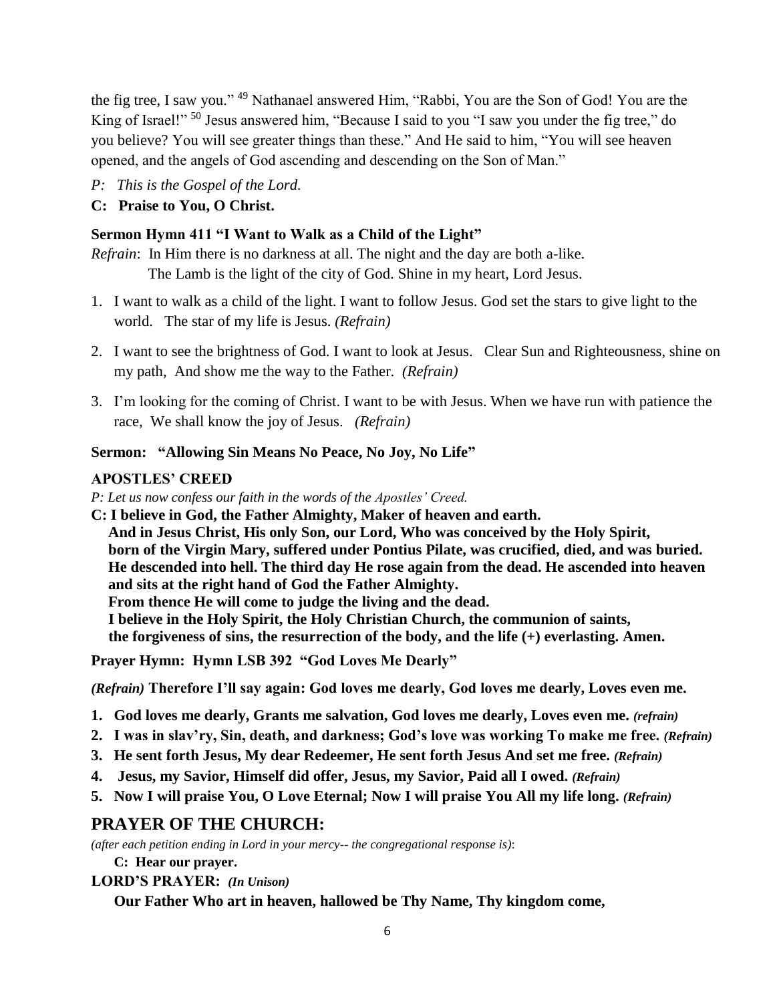the fig tree, I saw you." <sup>49</sup> Nathanael answered Him, "Rabbi, You are the Son of God! You are the King of Israel!"<sup>50</sup> Jesus answered him, "Because I said to you "I saw you under the fig tree," do you believe? You will see greater things than these." And He said to him, "You will see heaven opened, and the angels of God ascending and descending on the Son of Man."

*P: This is the Gospel of the Lord.*

# **C: Praise to You, O Christ.**

# **Sermon Hymn 411 "I Want to Walk as a Child of the Light"**

*Refrain*: In Him there is no darkness at all. The night and the day are both a-like. The Lamb is the light of the city of God. Shine in my heart, Lord Jesus.

- 1. I want to walk as a child of the light. I want to follow Jesus. God set the stars to give light to the world. The star of my life is Jesus. *(Refrain)*
- 2. I want to see the brightness of God. I want to look at Jesus. Clear Sun and Righteousness, shine on my path, And show me the way to the Father. *(Refrain)*
- 3. I'm looking for the coming of Christ. I want to be with Jesus. When we have run with patience the race, We shall know the joy of Jesus. *(Refrain)*

# **Sermon: "Allowing Sin Means No Peace, No Joy, No Life"**

# **APOSTLES' CREED**

*P: Let us now confess our faith in the words of the Apostles' Creed.*

**C: I believe in God, the Father Almighty, Maker of heaven and earth. And in Jesus Christ, His only Son, our Lord, Who was conceived by the Holy Spirit, born of the Virgin Mary, suffered under Pontius Pilate, was crucified, died, and was buried. He descended into hell. The third day He rose again from the dead. He ascended into heaven and sits at the right hand of God the Father Almighty. From thence He will come to judge the living and the dead. I believe in the Holy Spirit, the Holy Christian Church, the communion of saints, the forgiveness of sins, the resurrection of the body, and the life (+) everlasting. Amen.**

**Prayer Hymn: Hymn LSB 392 "God Loves Me Dearly"**

*(Refrain)* **Therefore I'll say again: God loves me dearly, God loves me dearly, Loves even me.**

- **1. God loves me dearly, Grants me salvation, God loves me dearly, Loves even me.** *(refrain)*
- **2. I was in slav'ry, Sin, death, and darkness; God's love was working To make me free.** *(Refrain)*
- **3. He sent forth Jesus, My dear Redeemer, He sent forth Jesus And set me free.** *(Refrain)*
- **4. Jesus, my Savior, Himself did offer, Jesus, my Savior, Paid all I owed.** *(Refrain)*
- **5. Now I will praise You, O Love Eternal; Now I will praise You All my life long.** *(Refrain)*

# **PRAYER OF THE CHURCH:**

*(after each petition ending in Lord in your mercy-- the congregational response is)*:

**C: Hear our prayer.** 

**LORD'S PRAYER:** *(In Unison)*

**Our Father Who art in heaven, hallowed be Thy Name, Thy kingdom come,**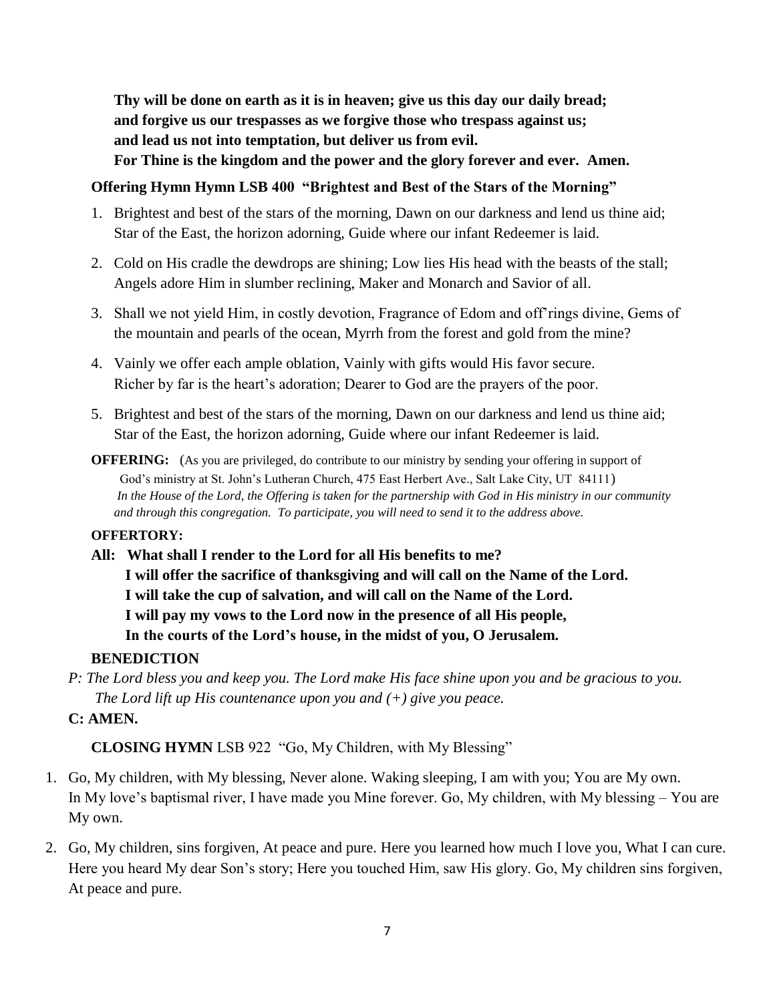**Thy will be done on earth as it is in heaven; give us this day our daily bread; and forgive us our trespasses as we forgive those who trespass against us; and lead us not into temptation, but deliver us from evil.** 

**For Thine is the kingdom and the power and the glory forever and ever. Amen.**

## **Offering Hymn Hymn LSB 400 "Brightest and Best of the Stars of the Morning"**

- 1. Brightest and best of the stars of the morning, Dawn on our darkness and lend us thine aid; Star of the East, the horizon adorning, Guide where our infant Redeemer is laid.
- 2. Cold on His cradle the dewdrops are shining; Low lies His head with the beasts of the stall; Angels adore Him in slumber reclining, Maker and Monarch and Savior of all.
- 3. Shall we not yield Him, in costly devotion, Fragrance of Edom and off'rings divine, Gems of the mountain and pearls of the ocean, Myrrh from the forest and gold from the mine?
- 4. Vainly we offer each ample oblation, Vainly with gifts would His favor secure. Richer by far is the heart's adoration; Dearer to God are the prayers of the poor.
- 5. Brightest and best of the stars of the morning, Dawn on our darkness and lend us thine aid; Star of the East, the horizon adorning, Guide where our infant Redeemer is laid.
- **OFFERING:** (As you are privileged, do contribute to our ministry by sending your offering in support of God's ministry at St. John's Lutheran Church, 475 East Herbert Ave., Salt Lake City, UT 84111) *In the House of the Lord, the Offering is taken for the partnership with God in His ministry in our community and through this congregation. To participate, you will need to send it to the address above.*

#### **OFFERTORY:**

**All: What shall I render to the Lord for all His benefits to me? I will offer the sacrifice of thanksgiving and will call on the Name of the Lord. I will take the cup of salvation, and will call on the Name of the Lord. I will pay my vows to the Lord now in the presence of all His people, In the courts of the Lord's house, in the midst of you, O Jerusalem.**

# **BENEDICTION**

*P: The Lord bless you and keep you. The Lord make His face shine upon you and be gracious to you. The Lord lift up His countenance upon you and (+) give you peace.*

# **C: AMEN.**

# **CLOSING HYMN** LSB 922 "Go, My Children, with My Blessing"

- 1. Go, My children, with My blessing, Never alone. Waking sleeping, I am with you; You are My own. In My love's baptismal river, I have made you Mine forever. Go, My children, with My blessing – You are My own.
- 2. Go, My children, sins forgiven, At peace and pure. Here you learned how much I love you, What I can cure. Here you heard My dear Son's story; Here you touched Him, saw His glory. Go, My children sins forgiven, At peace and pure.